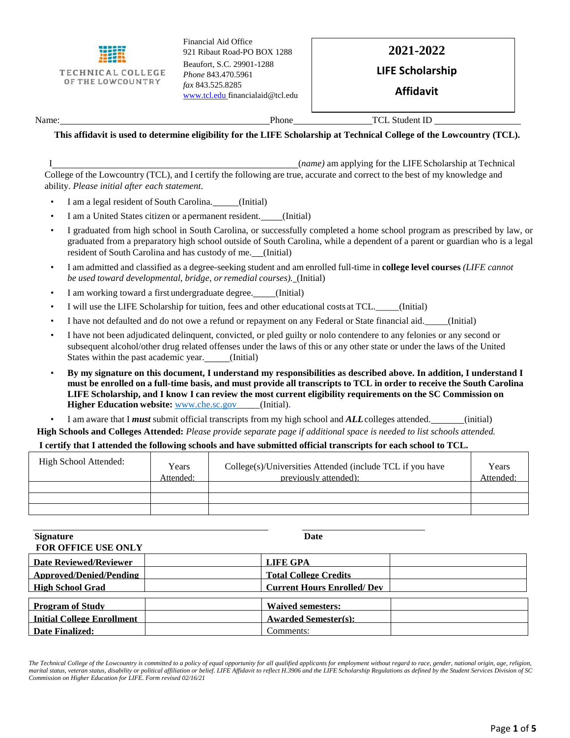

Financial Aid Office 921 Ribaut Road-PO BOX 1288 Beaufort, S.C. 29901-1288 *Phone* 843.470.5961 *fax* 843.525.8285 [www.tcl.edu](http://www.converse.edu/) [financialaid@tcl.edu](mailto:financialaid@tcl.edu)

## **2021-2022**

### **LIFE Scholarship**

**Affidavit**

Name: TCL Student ID

#### **This affidavit is used to determine eligibility for the LIFE Scholarship at Technical College of the Lowcountry (TCL).**

I (*name)* am applying for the LIFE Scholarship at Technical College of the Lowcountry (TCL), and I certify the following are true, accurate and correct to the best of my knowledge and ability. *Please initial after each statement*.

- I am a legal resident of South Carolina. \_\_\_\_\_(Initial)
- I am a United States citizen or apermanent resident. (Initial)
- I graduated from high school in South Carolina, or successfully completed a home school program as prescribed by law, or graduated from a preparatory high school outside of South Carolina, while a dependent of a parent or guardian who is a legal resident of South Carolina and has custody of me. (Initial)
- I am admitted and classified as a degree-seeking student and am enrolled full-time in **college level courses** *(LIFE cannot be used toward developmental, bridge, orremedial courses).* (Initial)
- I am working toward a first undergraduate degree. (Initial)
- I will use the LIFE Scholarship for tuition, fees and other educational costs at TCL.\_\_\_\_\_(Initial)
- I have not defaulted and do not owe a refund or repayment on any Federal or State financial aid.\_\_\_\_\_(Initial)
- I have not been adjudicated delinquent, convicted, or pled guilty or nolo contendere to any felonies or any second or subsequent alcohol/other drug related offenses under the laws of this or any other state or under the laws of the United States within the past academic year. (Initial)
- **By my signature on this document, I understand my responsibilities as described above. In addition, I understand I**  must be enrolled on a full-time basis, and must provide all transcripts to TCL in order to receive the South Carolina **LIFE Scholarship, and I know I can review the most current eligibility requirements on the SC Commission on Higher Education websit[e:](http://www.che.sc.gov/)** [www.che.sc.gov\\_](http://www.che.sc.gov/)\_\_\_\_(Initial).
- I am aware that I *must* submit official transcripts from my high school and *ALL*colleges attended. (initial)

**High Schools and Colleges Attended:** *Please provide separate page if additional space is needed to list schools attended.*

#### **I certify that I attended the following schools and have submitted official transcripts for each school to TCL.**

| High School Attended: | Years<br>Attended: | College(s)/Universities Attended (include TCL if you have<br>previously attended): | Years<br>Attended: |
|-----------------------|--------------------|------------------------------------------------------------------------------------|--------------------|
|                       |                    |                                                                                    |                    |
|                       |                    |                                                                                    |                    |
|                       |                    |                                                                                    |                    |

| <b>Signature</b>                  | <b>Date</b>                       |
|-----------------------------------|-----------------------------------|
| <b>FOR OFFICE USE ONLY</b>        |                                   |
| Date Reviewed/Reviewer            | <b>LIFE GPA</b>                   |
| Approved/Denied/Pending           | <b>Total College Credits</b>      |
| <b>High School Grad</b>           | <b>Current Hours Enrolled/Dev</b> |
|                                   |                                   |
| <b>Program of Study</b>           | <b>Waived semesters:</b>          |
| <b>Initial College Enrollment</b> | <b>Awarded Semester(s):</b>       |
| Date Finalized:                   | Comments:                         |

*The Technical College of the Lowcountry is committed to a policy of equal opportunity for all qualified applicants for employment without regard to race, gender, national origin, age, religion, marital status, veteran status, disability or political affiliation or belief. LIFE Affidavit to reflect H.3906 and the LIFE Scholarship Regulations as defined by the Student Services Division of SC Commission on Higher Education for LIFE. Form revised 02/16/21*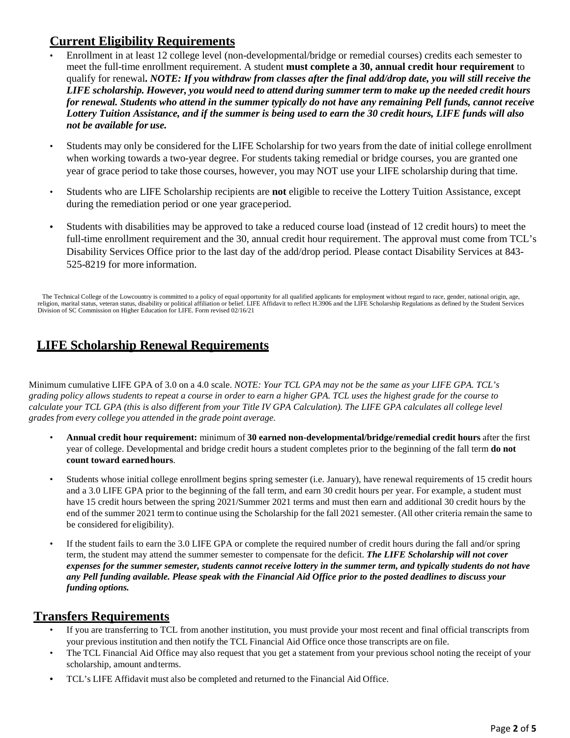## **Current Eligibility Requirements**

- Enrollment in at least 12 college level (non-developmental/bridge or remedial courses) credits each semester to meet the full-time enrollment requirement. A student **must complete a 30, annual credit hour requirement** to qualify for renewal**.** *NOTE: If you withdraw from classes after the final add/drop date, you will still receive the LIFE scholarship. However, you would need to attend during summer term to make up the needed credit hours for renewal. Students who attend in the summer typically do not have any remaining Pell funds, cannot receive Lottery Tuition Assistance, and if the summer is being used to earn the 30 credit hours, LIFE funds will also not be available for use.*
- Students may only be considered for the LIFE Scholarship for two years from the date of initial college enrollment when working towards a two-year degree. For students taking remedial or bridge courses, you are granted one year of grace period to take those courses, however, you may NOT use your LIFE scholarship during that time.
- Students who are LIFE Scholarship recipients are **not** eligible to receive the Lottery Tuition Assistance, except during the remediation period [or](http://www.tridenttech.edu/financialaid_29853.htm#WaivedRemediation_Period) one year grace period.
- Students with disabilities may be approved to take a reduced course load (instead of 12 credit hours) to meet the full-time enrollment requirement and the 30, annual credit hour requirement. The approval must come from TCL's Disability Services Office prior to the last day of the add/drop period. Please contact Disability Services at 843- 525-8219 for more information.

The Technical College of the Lowcountry is committed to a policy of equal opportunity for all qualified applicants for employment without regard to race, gender, national origin, age, religion, marital status, veteran stat Division of SC Commission on Higher Education for LIFE. Form revised 02/16/21

# **LIFE Scholarship Renewal Requirements**

Minimum cumulative LIFE GPA of 3.0 on a 4.0 scale. *NOTE: Your TCL GPA may not be the same as your LIFE GPA. TCL's grading policy allows students to repeat a course in order to earn a higher GPA. TCL uses the highest grade for the course to calculate your TCL GPA (this is also different from your Title IV GPA Calculation). The LIFE GPA calculates all college level grades from every college you attended in the grade point average.*

- **Annual credit hour requirement:** minimum of **30 earned non-developmental/bridge/remedial credit hours** after the first year of college. Developmental and bridge credit hours a student completes prior to the beginning of the fall term **do not count toward earnedhours**.
- Students whose initial college enrollment begins spring semester (i.e. January), have renewal requirements of 15 credit hours and a 3.0 LIFE GPA prior to the beginning of the fall term, and earn 30 credit hours per year. For example, a student must have 15 credit hours between the spring 2021/Summer 2021 terms and must then earn and additional 30 credit hours by the end of the summer 2021 term to continue using the Scholarship for the fall 2021 semester. (All other criteria remain the same to be considered for eligibility).
- If the student fails to earn the 3.0 LIFE GPA or complete the required number of credit hours during the fall and/or spring term, the student may attend the summer semester to compensate for the deficit. *The LIFE Scholarship will not cover expenses for the summer semester, students cannot receive lottery in the summer term, and typically students do not have any Pell funding available. Please speak with the Financial Aid Office prior to the posted deadlines to discuss your funding options.*

## **Transfers Requirements**

- If you are transferring to TCL from another institution, you must provide your most recent and final official transcripts from your previous institution and then notify the TCL Financial Aid Office once those transcripts are on file.
- The TCL Financial Aid Office may also request that you get a statement from your previous school noting the receipt of your scholarship, amount andterms.
- TCL's LIFE Affidavit must also be completed and returned to the Financial Aid Office.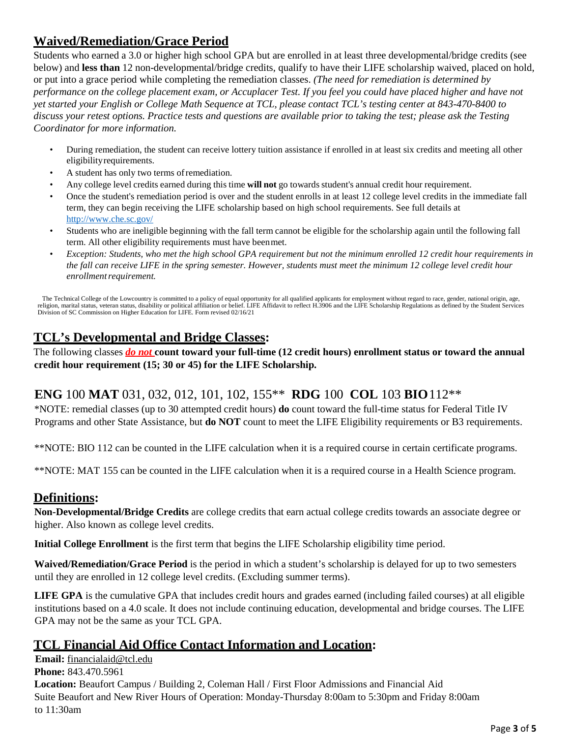# **Waived/Remediation/Grace Period**

Students who earned a 3.0 or higher high school GPA but are enrolled in at least three developmental/bridge credits (see below) and **less than** 12 non-developmental/bridge credits, qualify to have their LIFE scholarship waived, placed on hold, or put into a grace period while completing the remediation classes. *(The need for remediation is determined by performance on the college placement exam, or Accuplacer Test. If you feel you could have placed higher and have not yet started your English or College Math Sequence at TCL, please contact TCL's testing center at 843-470-8400 to discuss your retest options. Practice tests and questions are available prior to taking the test; please ask the Testing Coordinator for more information.* 

- During remediation, the student can receive lottery tuition assistance if enrolled in at least six credits and meeting all other eligibilityrequirements.
- A student has only two terms ofremediation.
- Any college level credits earned during this time **will not** go towards student's annual credit hour requirement.
- Once the student's remediation period is over and the student enrolls in at least 12 college level credits in the immediate fall term, they can begin receiving the LIFE scholarship based on high school requirements. See full details [at](http://www.che.sc.gov/) <http://www.che.sc.gov/>
- Students who are ineligible beginning with the fall term cannot be eligible for the scholarship again until the following fall term. All other eligibility requirements must have beenmet.
- *Exception: Students, who met the high school GPA requirement but not the minimum enrolled 12 credit hour requirements in the fall can receive LIFE in the spring semester. However, students must meet the minimum 12 college level credit hour*   $enrollment requirement$ .

The Technical College of the Lowcountry is committed to a policy of equal opportunity for all qualified applicants for employment without regard to race, gender, national origin, age, religion, marital status, veteran stat Division of SC Commission on Higher Education for LIFE. Form revised 02/16/21

# **TCL's Developmental and Bridge Classes:**

The following classes *do not* **count toward your full-time (12 credit hours) enrollment status or toward the annual credit hour requirement (15; 30 or 45) for the LIFE Scholarship.**

## **ENG** 100 **MAT** 031, 032, 012, 101, 102, 155\*\* **RDG** 100 **COL** 103 **BIO**112\*\*

\*NOTE: remedial classes (up to 30 attempted credit hours) **do** count toward the full-time status for Federal Title IV Programs and other State Assistance, but **do NOT** count to meet the LIFE Eligibility requirements or B3 requirements.

\*\*NOTE: BIO 112 can be counted in the LIFE calculation when it is a required course in certain certificate programs.

\*\*NOTE: MAT 155 can be counted in the LIFE calculation when it is a required course in a Health Science program.

## **Definitions:**

**Non-Developmental/Bridge Credits** are college credits that earn actual college credits towards an associate degree or higher. Also known as college level credits.

**Initial College Enrollment** is the first term that begins the LIFE Scholarship eligibility time period.

**Waived/Remediation/Grace Period** is the period in which a student's scholarship is delayed for up to two semesters until they are enrolled in 12 college level credits. (Excluding summer terms).

**LIFE GPA** is the cumulative GPA that includes credit hours and grades earned (including failed courses) at all eligible institutions based on a 4.0 scale. It does not include continuing education, developmental and bridge courses. The LIFE GPA may not be the same as your TCL GPA.

## **TCL Financial Aid Office Contact Information and Location:**

**Email:** [financialaid@tcl.edu](mailto:financialaid@tcl.edu) **Phone:** 843.470.5961 **Location:** Beaufort Campus / Building 2, Coleman Hall / First Floor Admissions and Financial Aid Suite Beaufort and New River Hours of Operation: Monday-Thursday 8:00am to 5:30pm and Friday 8:00am to 11:30am